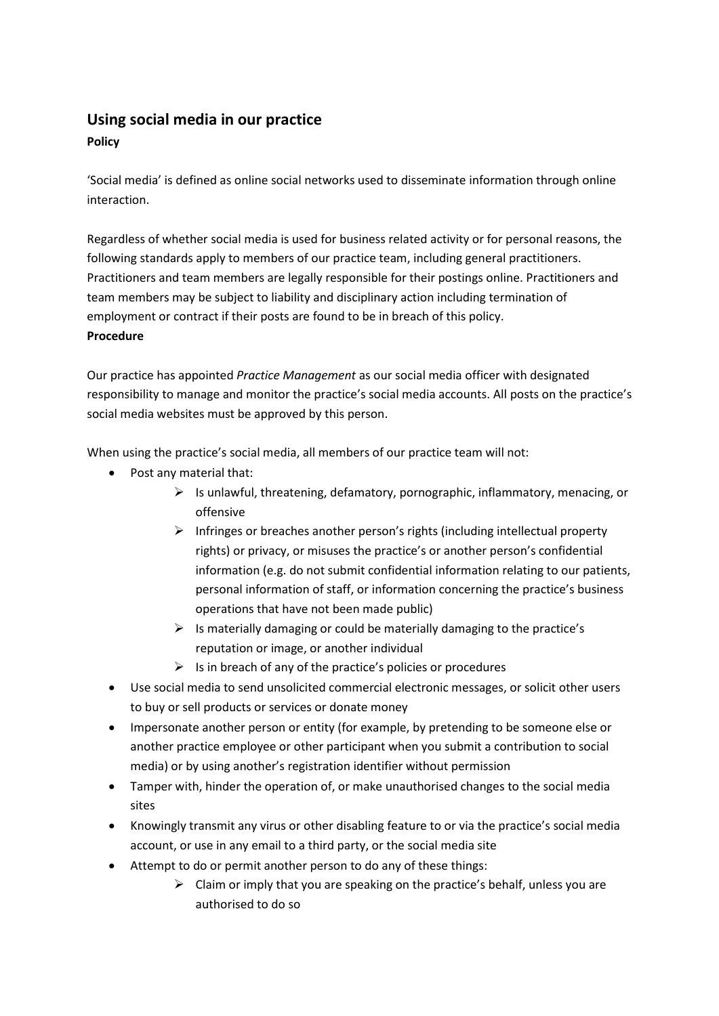## **Using social media in our practice**

## **Policy**

'Social media' is defined as online social networks used to disseminate information through online interaction.

Regardless of whether social media is used for business related activity or for personal reasons, the following standards apply to members of our practice team, including general practitioners. Practitioners and team members are legally responsible for their postings online. Practitioners and team members may be subject to liability and disciplinary action including termination of employment or contract if their posts are found to be in breach of this policy. **Procedure**

Our practice has appointed *Practice Management* as our social media officer with designated responsibility to manage and monitor the practice's social media accounts. All posts on the practice's social media websites must be approved by this person.

When using the practice's social media, all members of our practice team will not:

- Post any material that:
	- ➢ Is unlawful, threatening, defamatory, pornographic, inflammatory, menacing, or offensive
	- $\triangleright$  Infringes or breaches another person's rights (including intellectual property rights) or privacy, or misuses the practice's or another person's confidential information (e.g. do not submit confidential information relating to our patients, personal information of staff, or information concerning the practice's business operations that have not been made public)
	- $\triangleright$  Is materially damaging or could be materially damaging to the practice's reputation or image, or another individual
	- $\triangleright$  Is in breach of any of the practice's policies or procedures
- Use social media to send unsolicited commercial electronic messages, or solicit other users to buy or sell products or services or donate money
- Impersonate another person or entity (for example, by pretending to be someone else or another practice employee or other participant when you submit a contribution to social media) or by using another's registration identifier without permission
- Tamper with, hinder the operation of, or make unauthorised changes to the social media sites
- Knowingly transmit any virus or other disabling feature to or via the practice's social media account, or use in any email to a third party, or the social media site
- Attempt to do or permit another person to do any of these things:
	- $\triangleright$  Claim or imply that you are speaking on the practice's behalf, unless you are authorised to do so